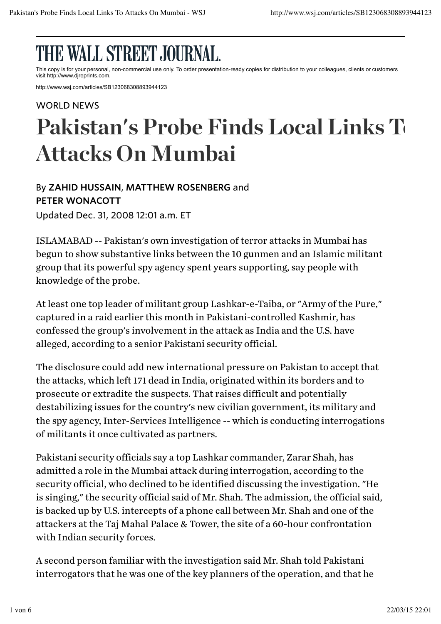## THE WALL STREET JOURNAL.

This copy is for your personal, non-commercial use only. To order presentation-ready copies for distribution to your colleagues, clients or customers visit http://www.djreprints.com.

http://www.wsj.com/articles/SB123068308893944123

## WORLD NEWS Pakistan's Probe Finds Local Links To Attacks On Mumbai

## Updated Dec. 31, 2008 12:01 a.m. ET By ZAHID HUSSAIN, MATTHEW ROSENBERG and PETER WONACOTT

ISLAMABAD -- Pakistan's own investigation of terror attacks in Mumbai has begun to show substantive links between the 10 gunmen and an Islamic militant group that its powerful spy agency spent years supporting, say people with knowledge of the probe.

At least one top leader of militant group Lashkar-e-Taiba, or "Army of the Pure," captured in a raid earlier this month in Pakistani-controlled Kashmir, has confessed the group's involvement in the attack as India and the U.S. have alleged, according to a senior Pakistani security official.

The disclosure could add new international pressure on Pakistan to accept that the attacks, which left 171 dead in India, originated within its borders and to prosecute or extradite the suspects. That raises difficult and potentially destabilizing issues for the country's new civilian government, its military and the spy agency, Inter-Services Intelligence -- which is conducting interrogations of militants it once cultivated as partners.

Pakistani security officials say a top Lashkar commander, Zarar Shah, has admitted a role in the Mumbai attack during interrogation, according to the security official, who declined to be identified discussing the investigation. "He is singing," the security official said of Mr. Shah. The admission, the official said, is backed up by U.S. intercepts of a phone call between Mr. Shah and one of the attackers at the Taj Mahal Palace & Tower, the site of a 60-hour confrontation with Indian security forces.

A second person familiar with the investigation said Mr. Shah told Pakistani interrogators that he was one of the key planners of the operation, and that he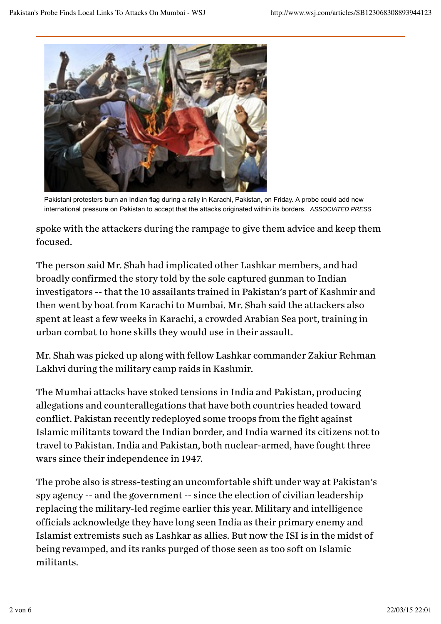

Pakistani protesters burn an Indian flag during a rally in Karachi, Pakistan, on Friday. A probe could add new international pressure on Pakistan to accept that the attacks originated within its borders. *ASSOCIATED PRESS*

spoke with the attackers during the rampage to give them advice and keep them focused.

The person said Mr. Shah had implicated other Lashkar members, and had broadly confirmed the story told by the sole captured gunman to Indian investigators -- that the 10 assailants trained in Pakistan's part of Kashmir and then went by boat from Karachi to Mumbai. Mr. Shah said the attackers also spent at least a few weeks in Karachi, a crowded Arabian Sea port, training in urban combat to hone skills they would use in their assault.

Mr. Shah was picked up along with fellow Lashkar commander Zakiur Rehman Lakhvi during the military camp raids in Kashmir.

The Mumbai attacks have stoked tensions in India and Pakistan, producing allegations and counterallegations that have both countries headed toward conflict. Pakistan recently redeployed some troops from the fight against Islamic militants toward the Indian border, and India warned its citizens not to travel to Pakistan. India and Pakistan, both nuclear-armed, have fought three wars since their independence in 1947.

The probe also is stress-testing an uncomfortable shift under way at Pakistan's spy agency -- and the government -- since the election of civilian leadership replacing the military-led regime earlier this year. Military and intelligence officials acknowledge they have long seen India as their primary enemy and Islamist extremists such as Lashkar as allies. But now the ISI is in the midst of being revamped, and its ranks purged of those seen as too soft on Islamic militants.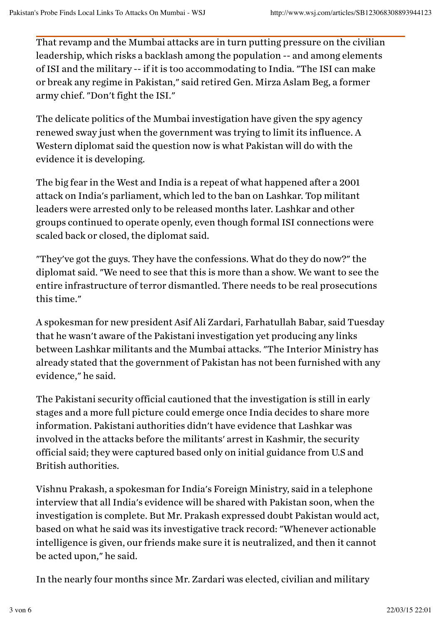That revamp and the Mumbai attacks are in turn putting pressure on the civilian leadership, which risks a backlash among the population -- and among elements of ISI and the military -- if it is too accommodating to India. "The ISI can make or break any regime in Pakistan," said retired Gen. Mirza Aslam Beg, a former army chief. "Don't fight the ISI."

The delicate politics of the Mumbai investigation have given the spy agency renewed sway just when the government was trying to limit its influence. A Western diplomat said the question now is what Pakistan will do with the evidence it is developing.

The big fear in the West and India is a repeat of what happened after a 2001 attack on India's parliament, which led to the ban on Lashkar. Top militant leaders were arrested only to be released months later. Lashkar and other groups continued to operate openly, even though formal ISI connections were scaled back or closed, the diplomat said.

"They've got the guys. They have the confessions. What do they do now?" the diplomat said. "We need to see that this is more than a show. We want to see the entire infrastructure of terror dismantled. There needs to be real prosecutions this time."

A spokesman for new president Asif Ali Zardari, Farhatullah Babar, said Tuesday that he wasn't aware of the Pakistani investigation yet producing any links between Lashkar militants and the Mumbai attacks. "The Interior Ministry has already stated that the government of Pakistan has not been furnished with any evidence," he said.

The Pakistani security official cautioned that the investigation is still in early stages and a more full picture could emerge once India decides to share more information. Pakistani authorities didn't have evidence that Lashkar was involved in the attacks before the militants' arrest in Kashmir, the security official said; they were captured based only on initial guidance from U.S and British authorities.

Vishnu Prakash, a spokesman for India's Foreign Ministry, said in a telephone interview that all India's evidence will be shared with Pakistan soon, when the investigation is complete. But Mr. Prakash expressed doubt Pakistan would act, based on what he said was its investigative track record: "Whenever actionable intelligence is given, our friends make sure it is neutralized, and then it cannot be acted upon," he said.

In the nearly four months since Mr. Zardari was elected, civilian and military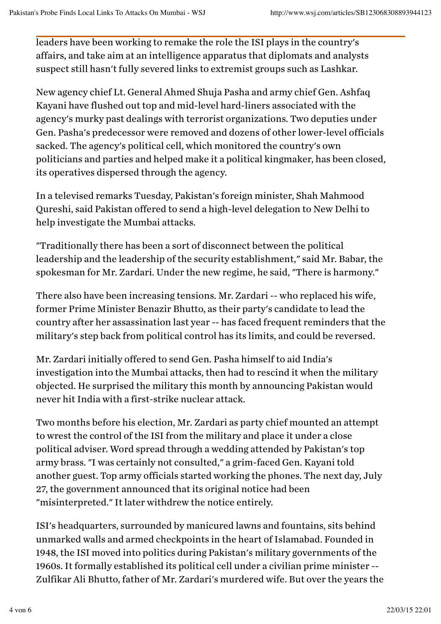leaders have been working to remake the role the ISI plays in the country's affairs, and take aim at an intelligence apparatus that diplomats and analysts suspect still hasn't fully severed links to extremist groups such as Lashkar.

New agency chief Lt. General Ahmed Shuja Pasha and army chief Gen. Ashfaq Kayani have flushed out top and mid-level hard-liners associated with the agency's murky past dealings with terrorist organizations. Two deputies under Gen. Pasha's predecessor were removed and dozens of other lower-level officials sacked. The agency's political cell, which monitored the country's own politicians and parties and helped make it a political kingmaker, has been closed, its operatives dispersed through the agency.

In a televised remarks Tuesday, Pakistan's foreign minister, Shah Mahmood Qureshi, said Pakistan offered to send a high-level delegation to New Delhi to help investigate the Mumbai attacks.

"Traditionally there has been a sort of disconnect between the political leadership and the leadership of the security establishment," said Mr. Babar, the spokesman for Mr. Zardari. Under the new regime, he said, "There is harmony."

There also have been increasing tensions. Mr. Zardari -- who replaced his wife, former Prime Minister Benazir Bhutto, as their party's candidate to lead the country after her assassination last year -- has faced frequent reminders that the military's step back from political control has its limits, and could be reversed.

Mr. Zardari initially offered to send Gen. Pasha himself to aid India's investigation into the Mumbai attacks, then had to rescind it when the military objected. He surprised the military this month by announcing Pakistan would never hit India with a first-strike nuclear attack.

Two months before his election, Mr. Zardari as party chief mounted an attempt to wrest the control of the ISI from the military and place it under a close political adviser. Word spread through a wedding attended by Pakistan's top army brass. "I was certainly not consulted," a grim-faced Gen. Kayani told another guest. Top army officials started working the phones. The next day, July 27, the government announced that its original notice had been "misinterpreted." It later withdrew the notice entirely.

ISI's headquarters, surrounded by manicured lawns and fountains, sits behind unmarked walls and armed checkpoints in the heart of Islamabad. Founded in 1948, the ISI moved into politics during Pakistan's military governments of the 1960s. It formally established its political cell under a civilian prime minister -- Zulfikar Ali Bhutto, father of Mr. Zardari's murdered wife. But over the years the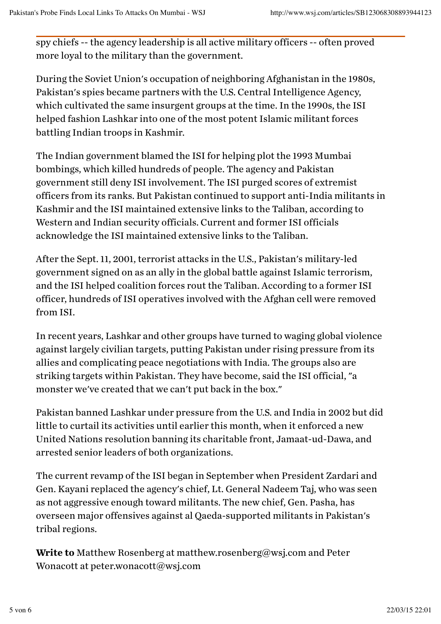spy chiefs -- the agency leadership is all active military officers -- often proved more loyal to the military than the government.

During the Soviet Union's occupation of neighboring Afghanistan in the 1980s, Pakistan's spies became partners with the U.S. Central Intelligence Agency, which cultivated the same insurgent groups at the time. In the 1990s, the ISI helped fashion Lashkar into one of the most potent Islamic militant forces battling Indian troops in Kashmir.

The Indian government blamed the ISI for helping plot the 1993 Mumbai bombings, which killed hundreds of people. The agency and Pakistan government still deny ISI involvement. The ISI purged scores of extremist officers from its ranks. But Pakistan continued to support anti-India militants in Kashmir and the ISI maintained extensive links to the Taliban, according to Western and Indian security officials. Current and former ISI officials acknowledge the ISI maintained extensive links to the Taliban.

After the Sept. 11, 2001, terrorist attacks in the U.S., Pakistan's military-led government signed on as an ally in the global battle against Islamic terrorism, and the ISI helped coalition forces rout the Taliban. According to a former ISI officer, hundreds of ISI operatives involved with the Afghan cell were removed from ISI.

In recent years, Lashkar and other groups have turned to waging global violence against largely civilian targets, putting Pakistan under rising pressure from its allies and complicating peace negotiations with India. The groups also are striking targets within Pakistan. They have become, said the ISI official, "a monster we've created that we can't put back in the box."

Pakistan banned Lashkar under pressure from the U.S. and India in 2002 but did little to curtail its activities until earlier this month, when it enforced a new United Nations resolution banning its charitable front, Jamaat-ud-Dawa, and arrested senior leaders of both organizations.

The current revamp of the ISI began in September when President Zardari and Gen. Kayani replaced the agency's chief, Lt. General Nadeem Taj, who was seen as not aggressive enough toward militants. The new chief, Gen. Pasha, has overseen major offensives against al Qaeda-supported militants in Pakistan's tribal regions.

Write to Matthew Rosenberg at matthew.rosenberg@wsj.com and Peter Wonacott at peter.wonacott@wsj.com